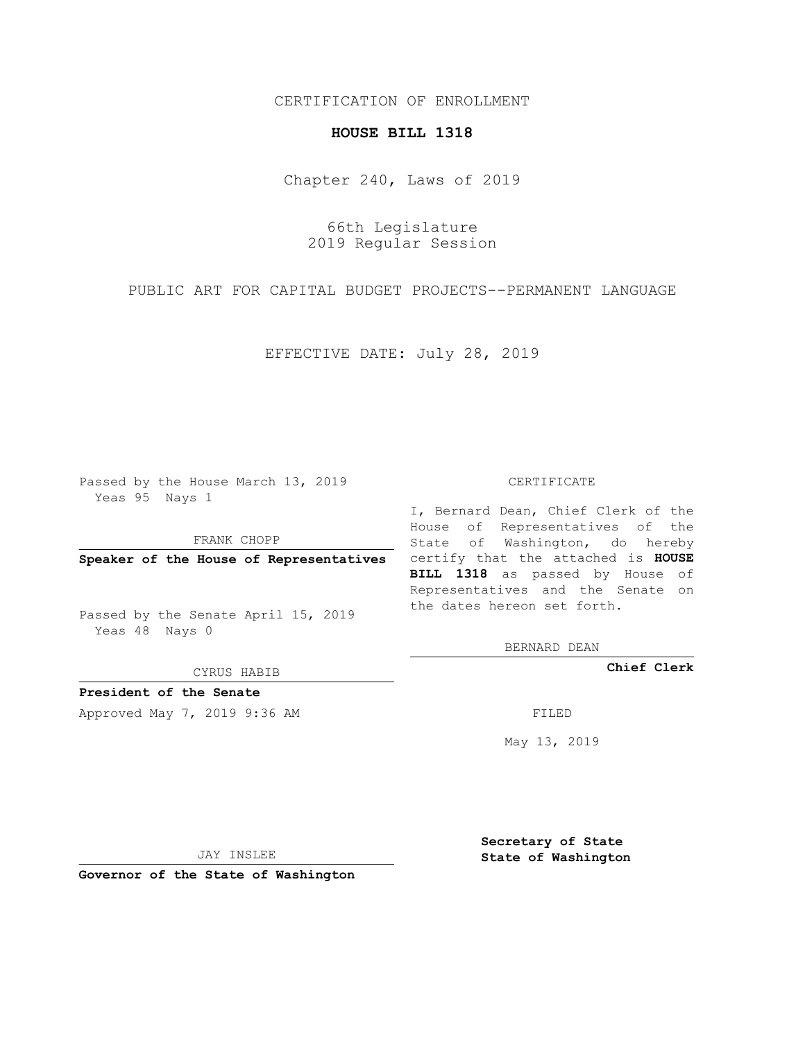## CERTIFICATION OF ENROLLMENT

## **HOUSE BILL 1318**

Chapter 240, Laws of 2019

66th Legislature 2019 Regular Session

PUBLIC ART FOR CAPITAL BUDGET PROJECTS--PERMANENT LANGUAGE

EFFECTIVE DATE: July 28, 2019

Passed by the House March 13, 2019 Yeas 95 Nays 1

FRANK CHOPP

Passed by the Senate April 15, 2019 Yeas 48 Nays 0

CYRUS HABIB

**President of the Senate**

Approved May 7, 2019 9:36 AM FILED

## CERTIFICATE

**Speaker of the House of Representatives** certify that the attached is **HOUSE** I, Bernard Dean, Chief Clerk of the House of Representatives of the State of Washington, do hereby **BILL 1318** as passed by House of Representatives and the Senate on the dates hereon set forth.

BERNARD DEAN

**Chief Clerk**

May 13, 2019

JAY INSLEE

**Governor of the State of Washington**

**Secretary of State State of Washington**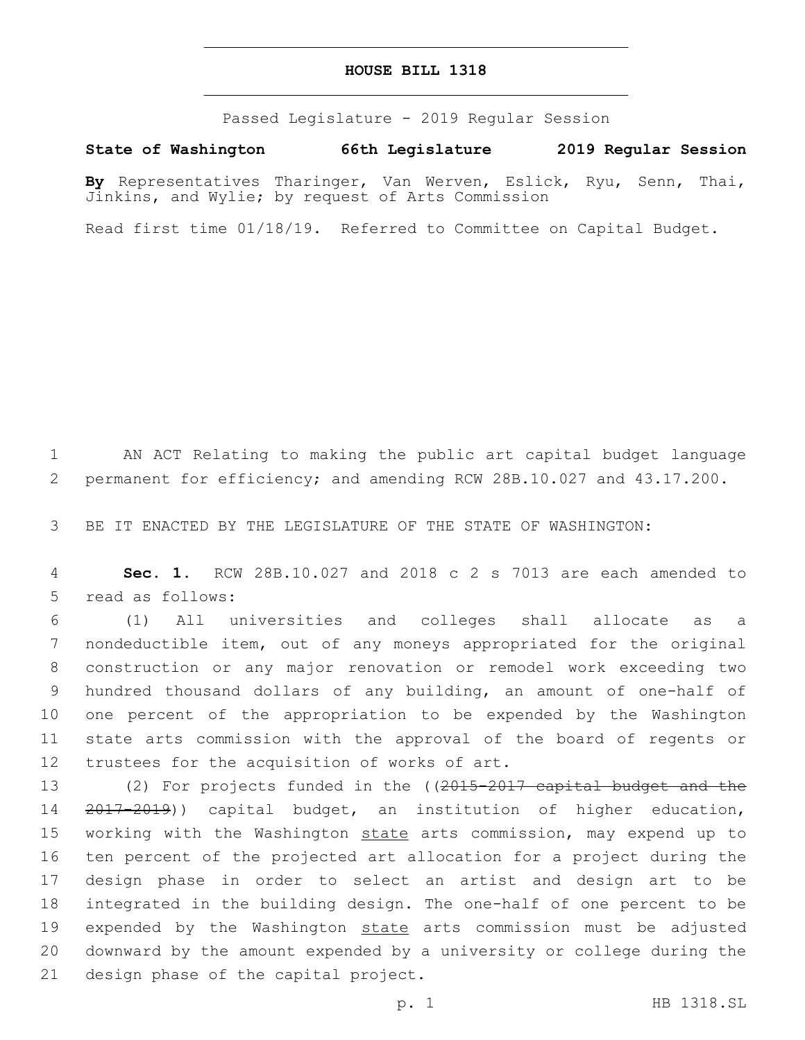## **HOUSE BILL 1318**

Passed Legislature - 2019 Regular Session

**State of Washington 66th Legislature 2019 Regular Session**

**By** Representatives Tharinger, Van Werven, Eslick, Ryu, Senn, Thai, Jinkins, and Wylie; by request of Arts Commission

Read first time 01/18/19. Referred to Committee on Capital Budget.

1 AN ACT Relating to making the public art capital budget language 2 permanent for efficiency; and amending RCW 28B.10.027 and 43.17.200.

3 BE IT ENACTED BY THE LEGISLATURE OF THE STATE OF WASHINGTON:

4 **Sec. 1.** RCW 28B.10.027 and 2018 c 2 s 7013 are each amended to 5 read as follows:

 (1) All universities and colleges shall allocate as a nondeductible item, out of any moneys appropriated for the original construction or any major renovation or remodel work exceeding two hundred thousand dollars of any building, an amount of one-half of one percent of the appropriation to be expended by the Washington state arts commission with the approval of the board of regents or 12 trustees for the acquisition of works of art.

13 (2) For projects funded in the ((2015-2017 capital budget and the 14 2017-2019)) capital budget, an institution of higher education, 15 working with the Washington state arts commission, may expend up to 16 ten percent of the projected art allocation for a project during the 17 design phase in order to select an artist and design art to be 18 integrated in the building design. The one-half of one percent to be 19 expended by the Washington state arts commission must be adjusted 20 downward by the amount expended by a university or college during the 21 design phase of the capital project.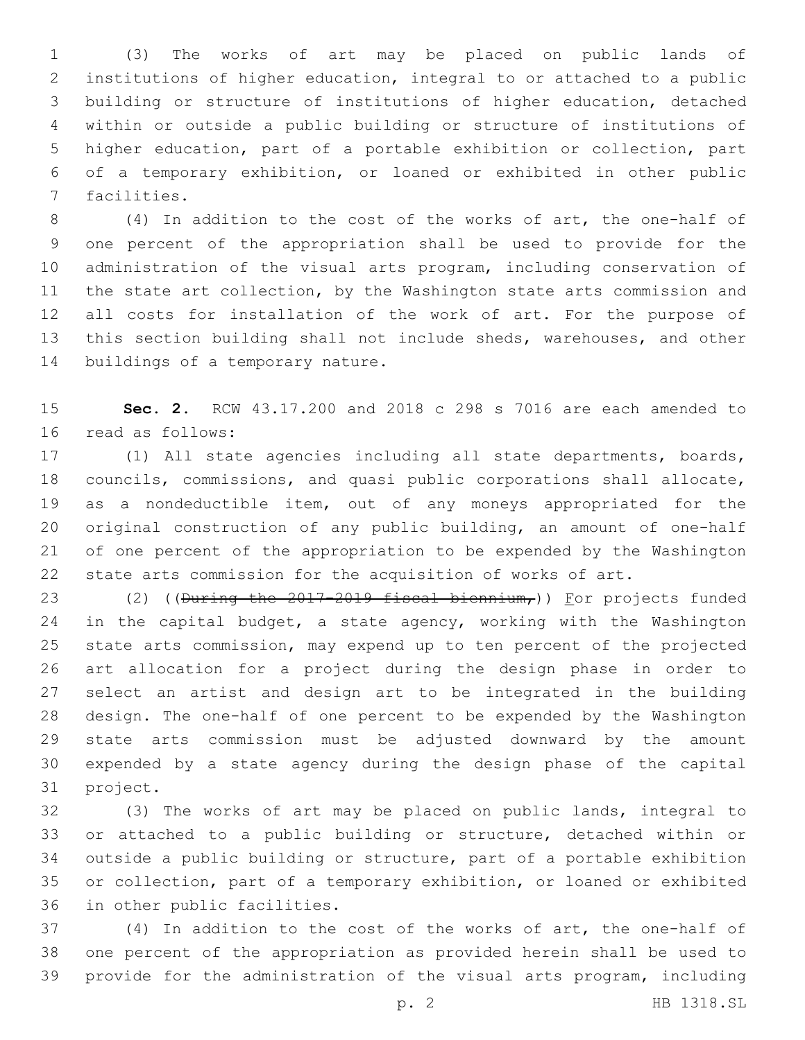(3) The works of art may be placed on public lands of institutions of higher education, integral to or attached to a public building or structure of institutions of higher education, detached within or outside a public building or structure of institutions of higher education, part of a portable exhibition or collection, part of a temporary exhibition, or loaned or exhibited in other public 7 facilities.

 (4) In addition to the cost of the works of art, the one-half of one percent of the appropriation shall be used to provide for the administration of the visual arts program, including conservation of the state art collection, by the Washington state arts commission and all costs for installation of the work of art. For the purpose of this section building shall not include sheds, warehouses, and other 14 buildings of a temporary nature.

 **Sec. 2.** RCW 43.17.200 and 2018 c 298 s 7016 are each amended to 16 read as follows:

 (1) All state agencies including all state departments, boards, councils, commissions, and quasi public corporations shall allocate, as a nondeductible item, out of any moneys appropriated for the original construction of any public building, an amount of one-half of one percent of the appropriation to be expended by the Washington state arts commission for the acquisition of works of art.

23 (2) ((During the 2017-2019 fiscal biennium,)) For projects funded 24 in the capital budget, a state agency, working with the Washington state arts commission, may expend up to ten percent of the projected art allocation for a project during the design phase in order to select an artist and design art to be integrated in the building design. The one-half of one percent to be expended by the Washington state arts commission must be adjusted downward by the amount expended by a state agency during the design phase of the capital 31 project.

 (3) The works of art may be placed on public lands, integral to or attached to a public building or structure, detached within or outside a public building or structure, part of a portable exhibition or collection, part of a temporary exhibition, or loaned or exhibited 36 in other public facilities.

 (4) In addition to the cost of the works of art, the one-half of one percent of the appropriation as provided herein shall be used to provide for the administration of the visual arts program, including